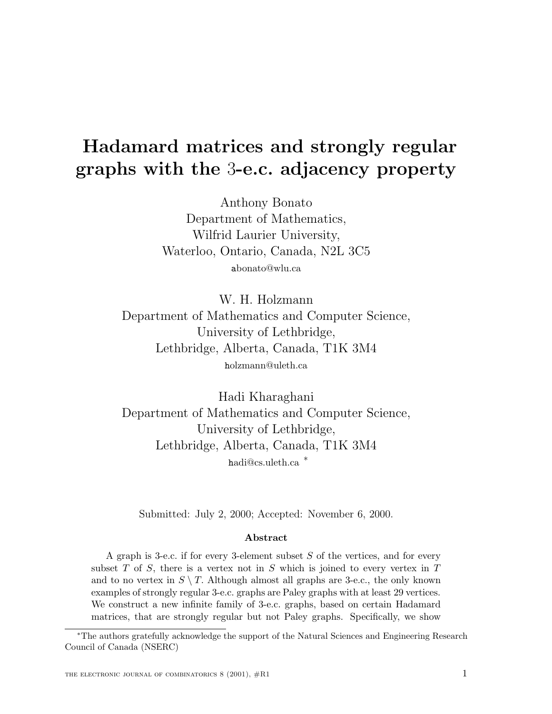# **Hadamard matrices and strongly regular graphs with the** 3**-e.c. adjacency property**

Anthony Bonato Department of Mathematics, Wilfrid Laurier University, Waterloo, Ontario, Canada, N2L 3C5 abonato@wlu.ca

W. H. Holzmann Department of Mathematics and Computer Science, University of Lethbridge, Lethbridge, Alberta, Canada, T1K 3M4 holzmann@uleth.ca

Hadi Kharaghani Department of Mathematics and Computer Science, University of Lethbridge, Lethbridge, Alberta, Canada, T1K 3M4 <sup>h</sup>adi@cs.uleth.ca <sup>∗</sup>

Submitted: July 2, 2000; Accepted: November 6, 2000.

#### **Abstract**

A graph is 3-e.c. if for every 3-element subset  $S$  of the vertices, and for every subset T of S, there is a vertex not in S which is joined to every vertex in T and to no vertex in  $S \setminus T$ . Although almost all graphs are 3-e.c., the only known examples of strongly regular 3-e.c. graphs are Paley graphs with at least 29 vertices. We construct a new infinite family of 3-e.c. graphs, based on certain Hadamard matrices, that are strongly regular but not Paley graphs. Specifically, we show

<sup>∗</sup>The authors gratefully acknowledge the support of the Natural Sciences and Engineering Research Council of Canada (NSERC)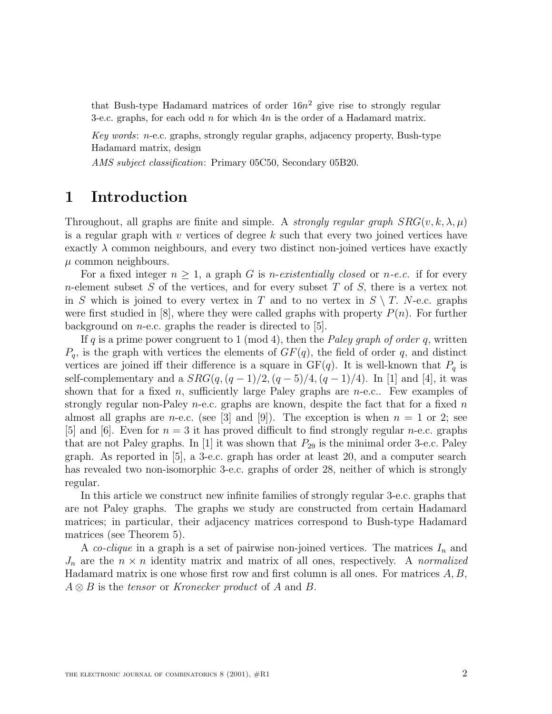that Bush-type Hadamard matrices of order  $16n^2$  give rise to strongly regular 3-e.c. graphs, for each odd  $n$  for which  $4n$  is the order of a Hadamard matrix.

Key words: n-e.c. graphs, strongly regular graphs, adjacency property, Bush-type Hadamard matrix, design

AMS subject classification: Primary 05C50, Secondary 05B20.

## **1 Introduction**

Throughout, all graphs are finite and simple. A *strongly regular graph*  $SRG(v, k, \lambda, \mu)$ is a regular graph with v vertices of degree k such that every two joined vertices have exactly  $\lambda$  common neighbours, and every two distinct non-joined vertices have exactly  $\mu$  common neighbours.

For a fixed integer  $n \geq 1$ , a graph G is *n-existentially closed* or *n-e.c.* if for every *n*-element subset S of the vertices, and for every subset T of S, there is a vertex not in S which is joined to every vertex in T and to no vertex in  $S \setminus T$ . N-e.c. graphs were first studied in  $[8]$ , where they were called graphs with property  $P(n)$ . For further background on  $n$ -e.c. graphs the reader is directed to [5].

If q is a prime power congruent to 1 (mod 4), then the *Paley graph of order q*, written  $P_q$ , is the graph with vertices the elements of  $GF(q)$ , the field of order q, and distinct vertices are joined iff their difference is a square in  $GF(q)$ . It is well-known that  $P<sub>q</sub>$  is self-complementary and a  $SRG(q,(q-1)/2,(q-5)/4,(q-1)/4)$ . In [1] and [4], it was shown that for a fixed n, sufficiently large Paley graphs are  $n$ -e.c.. Few examples of strongly regular non-Paley *n*-e.c. graphs are known, despite the fact that for a fixed *n* almost all graphs are *n*-e.c. (see [3] and [9]). The exception is when  $n = 1$  or 2; see [5] and [6]. Even for  $n = 3$  it has proved difficult to find strongly regular *n*-e.c. graphs that are not Paley graphs. In [1] it was shown that  $P_{29}$  is the minimal order 3-e.c. Paley graph. As reported in [5], a 3-e.c. graph has order at least 20, and a computer search has revealed two non-isomorphic 3-e.c. graphs of order 28, neither of which is strongly regular.

In this article we construct new infinite families of strongly regular 3-e.c. graphs that are not Paley graphs. The graphs we study are constructed from certain Hadamard matrices; in particular, their adjacency matrices correspond to Bush-type Hadamard matrices (see Theorem 5).

A co-clique in a graph is a set of pairwise non-joined vertices. The matrices  $I_n$  and  $J_n$  are the  $n \times n$  identity matrix and matrix of all ones, respectively. A normalized Hadamard matrix is one whose first row and first column is all ones. For matrices  $A, B$ ,  $A \otimes B$  is the tensor or Kronecker product of A and B.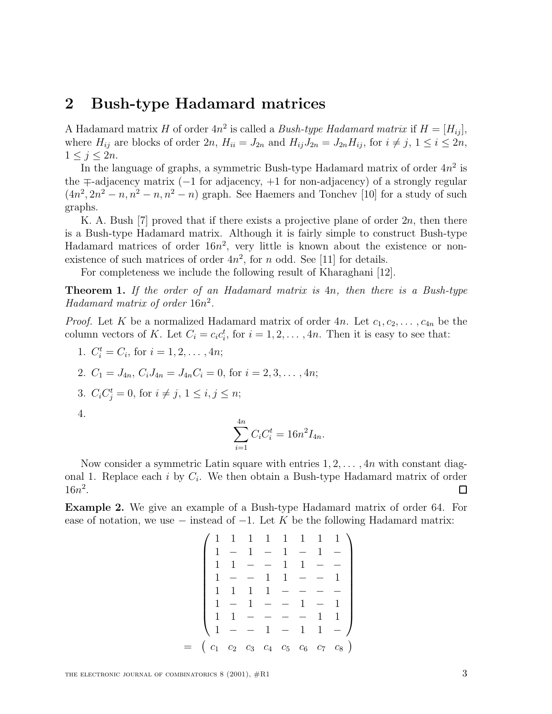#### **2 Bush-type Hadamard matrices**

A Hadamard matrix H of order  $4n^2$  is called a *Bush-type Hadamard matrix* if  $H = [H_{ii}]$ , where  $H_{ij}$  are blocks of order  $2n$ ,  $H_{ii} = J_{2n}$  and  $H_{ij}J_{2n} = J_{2n}H_{ij}$ , for  $i \neq j$ ,  $1 \leq i \leq 2n$ ,  $1 \leq j \leq 2n$ .

In the language of graphs, a symmetric Bush-type Hadamard matrix of order  $4n^2$  is the ∓-adjacency matrix (−1 for adjacency, +1 for non-adjacency) of a strongly regular  $(4n^2, 2n^2 - n, n^2 - n, n^2 - n)$  graph. See Haemers and Tonchev [10] for a study of such graphs.

K. A. Bush  $|7|$  proved that if there exists a projective plane of order  $2n$ , then there is a Bush-type Hadamard matrix. Although it is fairly simple to construct Bush-type Hadamard matrices of order  $16n^2$ , very little is known about the existence or nonexistence of such matrices of order  $4n^2$ , for n odd. See [11] for details.

For completeness we include the following result of Kharaghani [12].

**Theorem 1.** If the order of an Hadamard matrix is 4n, then there is a Bush-type Hadamard matrix of order  $16n^2$ .

*Proof.* Let K be a normalized Hadamard matrix of order 4n. Let  $c_1, c_2, \ldots, c_{4n}$  be the column vectors of K. Let  $C_i = c_i c_i^t$ , for  $i = 1, 2, ..., 4n$ . Then it is easy to see that:

1.  $C_i^t = C_i$ , for  $i = 1, 2, ..., 4n$ ;

2. 
$$
C_1 = J_{4n}
$$
,  $C_i J_{4n} = J_{4n} C_i = 0$ , for  $i = 2, 3, ..., 4n$ ;

3. 
$$
C_i C_j^t = 0
$$
, for  $i \neq j, 1 \leq i, j \leq n$ ;

4.

$$
\sum_{i=1}^{4n} C_i C_i^t = 16n^2 I_{4n}.
$$

Now consider a symmetric Latin square with entries  $1, 2, \ldots, 4n$  with constant diagonal 1. Replace each i by  $C_i$ . We then obtain a Bush-type Hadamard matrix of order  $16n^2$ .  $\Box$ 

**Example 2.** We give an example of a Bush-type Hadamard matrix of order 64. For ease of notation, we use  $-$  instead of  $-1$ . Let K be the following Hadamard matrix:

|                                                                               |                          |                                     |         |                 |              | $1 \quad 1 \quad 1 \quad 1 \quad 1 \quad 1 \quad 1 \quad 1$ |
|-------------------------------------------------------------------------------|--------------------------|-------------------------------------|---------|-----------------|--------------|-------------------------------------------------------------|
|                                                                               |                          |                                     |         | $1 - 1 -$       | $\mathbf{1}$ |                                                             |
|                                                                               | 1                        |                                     |         | $- - 1 1 -$     |              |                                                             |
|                                                                               |                          |                                     |         | $1 - - 1 1 - -$ |              |                                                             |
|                                                                               |                          | $1 \quad 1 \quad 1 \quad - \quad -$ |         |                 |              |                                                             |
|                                                                               | $\overline{\phantom{a}}$ |                                     | $1 - -$ | $1 -$           |              |                                                             |
|                                                                               | $1 -$                    |                                     | $   -$  |                 |              | $1 \quad 1$                                                 |
|                                                                               | $1 -$                    |                                     |         | $-1 - 1 1 -$    |              |                                                             |
| $\begin{pmatrix} c_1 & c_2 & c_3 & c_4 & c_5 & c_6 & c_7 & c_8 \end{pmatrix}$ |                          |                                     |         |                 |              |                                                             |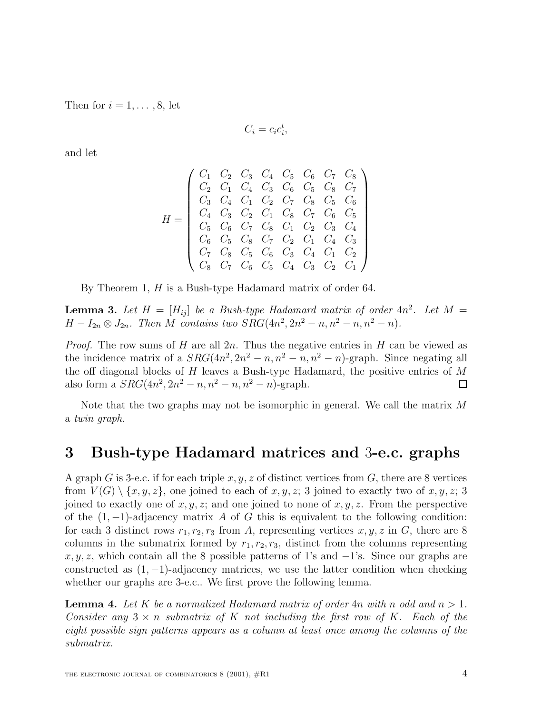Then for  $i = 1, \ldots, 8$ , let

$$
C_i = c_i c_i^t,
$$

and let

$$
H = \left(\begin{array}{cccccc} C_1 & C_2 & C_3 & C_4 & C_5 & C_6 & C_7 & C_8 \\ C_2 & C_1 & C_4 & C_3 & C_6 & C_5 & C_8 & C_7 \\ C_3 & C_4 & C_1 & C_2 & C_7 & C_8 & C_5 & C_6 \\ C_4 & C_3 & C_2 & C_1 & C_8 & C_7 & C_6 & C_5 \\ C_5 & C_6 & C_7 & C_8 & C_1 & C_2 & C_3 & C_4 \\ C_6 & C_5 & C_8 & C_7 & C_2 & C_1 & C_4 & C_3 \\ C_7 & C_8 & C_5 & C_6 & C_3 & C_4 & C_1 & C_2 \\ C_8 & C_7 & C_6 & C_5 & C_4 & C_3 & C_2 & C_1 \end{array}\right)
$$

By Theorem 1, H is a Bush-type Hadamard matrix of order 64.

**Lemma 3.** Let  $H = [H_{ij}]$  be a Bush-type Hadamard matrix of order  $4n^2$ . Let  $M =$  $H - I_{2n} \otimes J_{2n}$ . Then M contains two  $SRG(4n^2, 2n^2 - n, n^2 - n, n^2 - n)$ .

*Proof.* The row sums of H are all  $2n$ . Thus the negative entries in H can be viewed as the incidence matrix of a  $SRG(4n^2, 2n^2 - n, n^2 - n, n^2 - n)$ -graph. Since negating all the off diagonal blocks of  $H$  leaves a Bush-type Hadamard, the positive entries of  $M$ also form a  $SRG(4n^2, 2n^2 - n, n^2 - n, n^2 - n)$ -graph.  $\Box$ 

Note that the two graphs may not be isomorphic in general. We call the matrix M a twin graph.

#### **3 Bush-type Hadamard matrices and** 3**-e.c. graphs**

A graph G is 3-e.c. if for each triple  $x, y, z$  of distinct vertices from G, there are 8 vertices from  $V(G) \setminus \{x, y, z\}$ , one joined to each of  $x, y, z$ ; 3 joined to exactly two of  $x, y, z$ ; 3 joined to exactly one of  $x, y, z$ ; and one joined to none of  $x, y, z$ . From the perspective of the  $(1, -1)$ -adjacency matrix A of G this is equivalent to the following condition: for each 3 distinct rows  $r_1, r_2, r_3$  from A, representing vertices  $x, y, z$  in G, there are 8 columns in the submatrix formed by  $r_1, r_2, r_3$ , distinct from the columns representing  $x, y, z$ , which contain all the 8 possible patterns of 1's and  $-1$ 's. Since our graphs are constructed as  $(1, -1)$ -adjacency matrices, we use the latter condition when checking whether our graphs are 3-e.c.. We first prove the following lemma.

**Lemma 4.** Let K be a normalized Hadamard matrix of order 4n with n odd and  $n > 1$ . Consider any  $3 \times n$  submatrix of K not including the first row of K. Each of the eight possible sign patterns appears as a column at least once among the columns of the submatrix.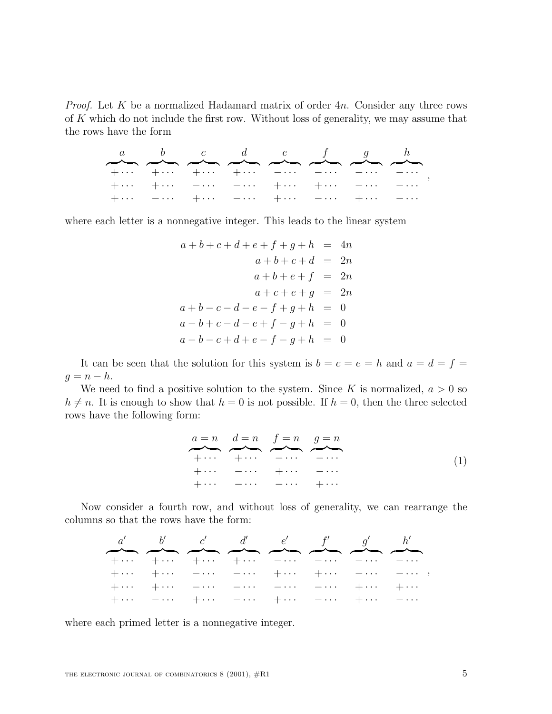*Proof.* Let  $K$  be a normalized Hadamard matrix of order  $4n$ . Consider any three rows of  $K$  which do not include the first row. Without loss of generality, we may assume that the rows have the form

|  |  |  | $\frac{a}{a}$ , $\frac{b}{a}$ , $\frac{c}{a}$ , $\frac{d}{a}$ , $\frac{e}{a}$ , $\frac{f}{a}$ , $\frac{g}{a}$ , $\frac{h}{a}$ |                                                                                 |
|--|--|--|-------------------------------------------------------------------------------------------------------------------------------|---------------------------------------------------------------------------------|
|  |  |  | $+ \cdots$ $+ \cdots$ $+ \cdots$ $+ \cdots$ $- \cdots$ $- \cdots$ $- \cdots$ $- \cdots$                                       |                                                                                 |
|  |  |  |                                                                                                                               | $+\cdots$ $+\cdots$ $-\cdots$ $-\cdots$ $+\cdots$ $+\cdots$ $-\cdots$ $-\cdots$ |
|  |  |  | $+ \cdots$ $- \cdots$ $+ \cdots$ $- \cdots$ $+ \cdots$ $- \cdots$ $+ \cdots$ $- \cdots$                                       |                                                                                 |

where each letter is a nonnegative integer. This leads to the linear system

$$
a+b+c+d+e+f+g+h = 4n
$$
  
\n
$$
a+b+c+d = 2n
$$
  
\n
$$
a+b+e+f = 2n
$$
  
\n
$$
a+c+e+g = 2n
$$
  
\n
$$
a+b-c-d-e-f+g+h = 0
$$
  
\n
$$
a-b+c-d-e+f-g+h = 0
$$
  
\n
$$
a-b-c+d+e-f-g+h = 0
$$

It can be seen that the solution for this system is  $b = c = e = h$  and  $a = d = f =$  $q = n - h$ .

We need to find a positive solution to the system. Since K is normalized,  $a > 0$  so  $h \neq n$ . It is enough to show that  $h = 0$  is not possible. If  $h = 0$ , then the three selected rows have the following form:

$$
a = n \quad d = n \quad f = n \quad g = n
$$
\n
$$
\vdots
$$
\n
$$
\vdots
$$
\n
$$
\vdots
$$
\n
$$
\vdots
$$
\n
$$
\vdots
$$
\n
$$
\vdots
$$
\n
$$
\vdots
$$
\n
$$
\vdots
$$
\n
$$
\vdots
$$
\n
$$
\vdots
$$
\n
$$
\vdots
$$
\n
$$
\vdots
$$
\n
$$
\vdots
$$
\n
$$
\vdots
$$
\n
$$
\vdots
$$
\n
$$
\vdots
$$
\n
$$
\vdots
$$
\n
$$
\vdots
$$
\n
$$
\vdots
$$
\n
$$
\vdots
$$
\n
$$
\vdots
$$
\n
$$
\vdots
$$
\n
$$
\vdots
$$
\n
$$
\vdots
$$
\n
$$
\vdots
$$
\n
$$
\vdots
$$
\n
$$
\vdots
$$
\n
$$
\vdots
$$
\n
$$
\vdots
$$
\n
$$
\vdots
$$
\n
$$
\vdots
$$
\n
$$
\vdots
$$
\n
$$
\vdots
$$
\n
$$
\vdots
$$
\n
$$
\vdots
$$
\n
$$
\vdots
$$
\n
$$
\vdots
$$
\n
$$
\vdots
$$
\n
$$
\vdots
$$
\n
$$
\vdots
$$
\n
$$
\vdots
$$
\n
$$
\vdots
$$
\n
$$
\vdots
$$
\n
$$
\vdots
$$
\n
$$
\vdots
$$
\n
$$
\vdots
$$
\n
$$
\vdots
$$
\n
$$
\vdots
$$
\n
$$
\vdots
$$
\n
$$
\vdots
$$
\n
$$
\vdots
$$
\n
$$
\vdots
$$
\n
$$
\vdots
$$
\n
$$
\vdots
$$
\n
$$
\vdots
$$
\n
$$
\vdots
$$
\n
$$
\vdots
$$
\n
$$
\vdots
$$
\n
$$
\vdots
$$
\n
$$
\vdots
$$
\n
$$
\vdots
$$
\n<math display="block</math>

Now consider a fourth row, and without loss of generality, we can rearrange the columns so that the rows have the form:

|  |  | $a'$ b' $c'$ $d'$ $e'$ $f'$ $g'$ $h'$                                                                                                                                                                                                                                                                                                                              |  |                                                                                           |
|--|--|--------------------------------------------------------------------------------------------------------------------------------------------------------------------------------------------------------------------------------------------------------------------------------------------------------------------------------------------------------------------|--|-------------------------------------------------------------------------------------------|
|  |  | $\begin{picture}(180,10) \put(0,0){\vector(1,0){100}} \put(10,0){\vector(1,0){100}} \put(10,0){\vector(1,0){100}} \put(10,0){\vector(1,0){100}} \put(10,0){\vector(1,0){100}} \put(10,0){\vector(1,0){100}} \put(10,0){\vector(1,0){100}} \put(10,0){\vector(1,0){100}} \put(10,0){\vector(1,0){100}} \put(10,0){\vector(1,0){100}} \put(10,0){\vector(1,0){100}}$ |  |                                                                                           |
|  |  |                                                                                                                                                                                                                                                                                                                                                                    |  |                                                                                           |
|  |  |                                                                                                                                                                                                                                                                                                                                                                    |  | $+ \cdots$ $+ \cdots$ $- \cdots$ $- \cdots$ $+ \cdots$ $+ \cdots$ $- \cdots$ $- \cdots$ , |
|  |  | $+\cdots$ $+\cdots$ $-\cdots$ $-\cdots$ $-\cdots$ $-\cdots$ $+\cdots$ $+\cdots$                                                                                                                                                                                                                                                                                    |  |                                                                                           |
|  |  | $+ \cdots$ $- \cdots$ $+ \cdots$ $- \cdots$ $+ \cdots$ $- \cdots$ $+ \cdots$ $- \cdots$                                                                                                                                                                                                                                                                            |  |                                                                                           |

where each primed letter is a nonnegative integer.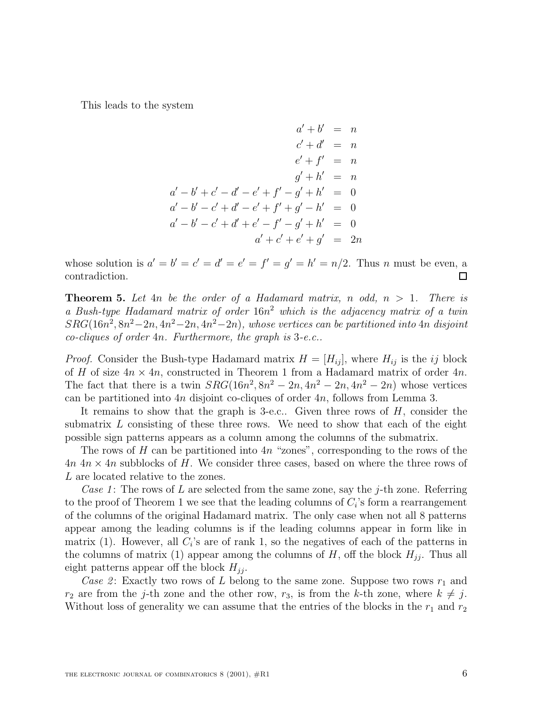This leads to the system

$$
a' + b' = n
$$
  
\n
$$
c' + d' = n
$$
  
\n
$$
e' + f' = n
$$
  
\n
$$
a' - b' + c' - d' - e' + f' - g' + h' = 0
$$
  
\n
$$
a' - b' - c' + d' - e' + f' + g' - h' = 0
$$
  
\n
$$
a' - b' - c' + d' + e' - f' - g' + h' = 0
$$
  
\n
$$
a' + c' + e' + g' = 2n
$$

whose solution is  $a' = b' = c' = d' = e' = f' = q' = h' = n/2$ . Thus n must be even, a contradiction.  $\Box$ 

**Theorem 5.** Let  $4n$  be the order of a Hadamard matrix, n odd,  $n > 1$ . There is a Bush-type Hadamard matrix of order  $16n^2$  which is the adjacency matrix of a twin  $SRG(16n^2, 8n^2-2n, 4n^2-2n, 4n^2-2n)$ , whose vertices can be partitioned into 4n disjoint co-cliques of order 4n. Furthermore, the graph is 3-e.c..

*Proof.* Consider the Bush-type Hadamard matrix  $H = [H_{ij}]$ , where  $H_{ij}$  is the ij block of H of size  $4n \times 4n$ , constructed in Theorem 1 from a Hadamard matrix of order  $4n$ . The fact that there is a twin  $SRG(16n^2, 8n^2 - 2n, 4n^2 - 2n, 4n^2 - 2n)$  whose vertices can be partitioned into 4n disjoint co-cliques of order 4n, follows from Lemma 3.

It remains to show that the graph is 3-e.c.. Given three rows of H, consider the submatrix L consisting of these three rows. We need to show that each of the eight possible sign patterns appears as a column among the columns of the submatrix.

The rows of H can be partitioned into  $4n$  "zones", corresponding to the rows of the  $4n \times 4n$  subblocks of H. We consider three cases, based on where the three rows of L are located relative to the zones.

Case 1: The rows of L are selected from the same zone, say the j-th zone. Referring to the proof of Theorem 1 we see that the leading columns of  $C_i$ 's form a rearrangement of the columns of the original Hadamard matrix. The only case when not all 8 patterns appear among the leading columns is if the leading columns appear in form like in matrix (1). However, all  $C_i$ 's are of rank 1, so the negatives of each of the patterns in the columns of matrix (1) appear among the columns of  $H$ , off the block  $H_{ij}$ . Thus all eight patterns appear off the block  $H_{ij}$ .

Case 2: Exactly two rows of L belong to the same zone. Suppose two rows  $r_1$  and  $r_2$  are from the j-th zone and the other row,  $r_3$ , is from the k-th zone, where  $k \neq j$ . Without loss of generality we can assume that the entries of the blocks in the  $r_1$  and  $r_2$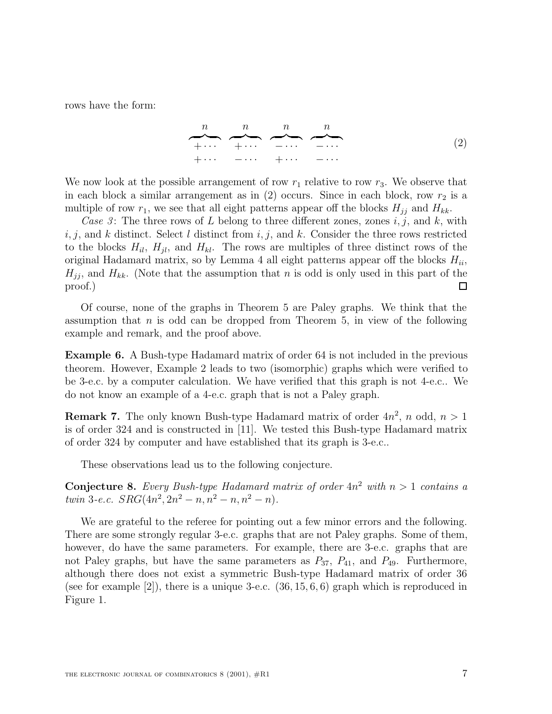rows have the form:

$$
\begin{array}{ccccccccc}\nn & n & n & n \\
+ \cdots & + \cdots & - \cdots & - \cdots \\
+ \cdots & - \cdots & + \cdots & - \cdots\n\end{array} \qquad (2)
$$

We now look at the possible arrangement of row  $r_1$  relative to row  $r_3$ . We observe that in each block a similar arrangement as in  $(2)$  occurs. Since in each block, row  $r_2$  is a multiple of row  $r_1$ , we see that all eight patterns appear off the blocks  $H_{jj}$  and  $H_{kk}$ .

Case 3: The three rows of L belong to three different zones, zones  $i, j$ , and k, with i, j, and k distinct. Select l distinct from i, j, and k. Consider the three rows restricted to the blocks  $H_{il}$ ,  $H_{jl}$ , and  $H_{kl}$ . The rows are multiples of three distinct rows of the original Hadamard matrix, so by Lemma 4 all eight patterns appear off the blocks  $H_{ii}$ ,  $H_{jj}$ , and  $H_{kk}$ . (Note that the assumption that n is odd is only used in this part of the proof.)  $\Box$ 

Of course, none of the graphs in Theorem 5 are Paley graphs. We think that the assumption that n is odd can be dropped from Theorem 5, in view of the following example and remark, and the proof above.

**Example 6.** A Bush-type Hadamard matrix of order 64 is not included in the previous theorem. However, Example 2 leads to two (isomorphic) graphs which were verified to be 3-e.c. by a computer calculation. We have verified that this graph is not 4-e.c.. We do not know an example of a 4-e.c. graph that is not a Paley graph.

**Remark 7.** The only known Bush-type Hadamard matrix of order  $4n^2$ , n odd,  $n > 1$ is of order 324 and is constructed in [11]. We tested this Bush-type Hadamard matrix of order 324 by computer and have established that its graph is 3-e.c..

These observations lead us to the following conjecture.

**Conjecture 8.** Every Bush-type Hadamard matrix of order  $4n^2$  with  $n > 1$  contains a twin 3-e.c.  $SRG(4n^2, 2n^2 - n, n^2 - n, n^2 - n)$ .

We are grateful to the referee for pointing out a few minor errors and the following. There are some strongly regular 3-e.c. graphs that are not Paley graphs. Some of them, however, do have the same parameters. For example, there are 3-e.c. graphs that are not Paley graphs, but have the same parameters as  $P_{37}$ ,  $P_{41}$ , and  $P_{49}$ . Furthermore, although there does not exist a symmetric Bush-type Hadamard matrix of order 36 (see for example [2]), there is a unique 3-e.c.  $(36, 15, 6, 6)$  graph which is reproduced in Figure 1.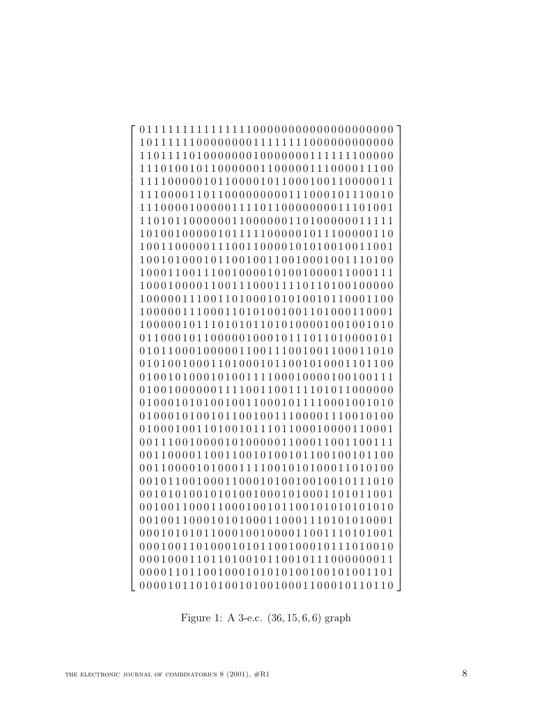011111111111111100000000000000000000 101111110000000011111111000000000000 110111101000000010000000111111100000 111010010110000001100000111000011100 111100000101100001011000100110000011 111000011011000000000111000101110010 111000010000011110110000000011101001 110101100000011000000110100000011111 101001000001011111000001011100000110 100110000011100110000101010010011001 100101000101100100110010001001110100 100011001110010000101001000011000111 100010000110011100011110110100100000 100000111001101000101010010110001100 100000111000110101001001101000110001 100000101110101011010100001001001010 011000101100000100010111011010000101 010110001000001100111001001100011010 010100100011010001011001010001101100 010010100010100111100010000100100111 010010000001111001100111101011000000 01000101010001100010111110001001010 010001010010110010011100001110010100 010001001101001011101100010000110001 001110010000101000001100011001100111 001100001100110010100101100100101100 001100001010001111001010100011010100 001011001000110001010010010010111010 001010100101010010001010001101011001 001001100011000100101100101010101010 001001100010101000110001110101010001 000101010110001001000011001110101001 000100110100010101100100010111010010 000100011011010010110010111000000011 000011011001000101010100100101001101 000010110101001010010001100010110110  $\overline{1}$  $\overline{1}$  $\overline{1}$  $\overline{1}$  $\overline{1}$  $\overline{1}$  $\frac{1}{2}$  $\overline{1}$  $\overline{1}$  $\overline{1}$  $\overline{1}$  $\overline{1}$  $\overline{1}$  $\overline{1}$  $\overline{1}$  $\overline{1}$  $\overline{1}$  $\overline{1}$  $\overline{1}$  $\overline{1}$  $\overline{1}$  $\mathcal{L}$  $\vert$  $\overline{1}$  $\overline{1}$  $\overline{1}$  $\overline{1}$  $\overline{1}$  $\overline{1}$  $\frac{1}{2}$  $\overline{1}$  $\overline{1}$  $\overline{1}$  $\overline{1}$  $\overline{1}$  $\overline{1}$  $\overline{1}$  $\overline{1}$  $\overline{1}$  $\overline{1}$  $\overline{1}$  $\overline{1}$  $\overline{1}$  $\overline{1}$  $\overline{1}$  $\overline{1}$  $\overline{1}$  $\overline{1}$  $\overline{1}$  $\overline{1}$  $\overline{1}$  $\overline{1}$  $\frac{1}{2}$  $\vert$  $\overline{1}$  $\overline{1}$  $\overline{1}$  $\overline{1}$  $\overline{1}$  $\overline{1}$  $\overline{1}$  $\overline{1}$  $\overline{1}$  $\overline{1}$  $\overline{1}$  $\overline{1}$  $\overline{1}$ 

Figure 1: A 3-e.c. (36, 15, 6, 6) graph

 $\sqrt{ }$ 

 $\overline{\phantom{a}}$  $\overline{1}$  $\overline{1}$  $\overline{1}$  $\overline{1}$  $\vert$  $\overline{1}$  $\overline{1}$  $\overline{1}$  $\overline{1}$  $\overline{1}$  $\overline{1}$  $\overline{1}$  $\overline{1}$  $\vert$  $\overline{\phantom{a}}$  $\overline{1}$  $\overline{1}$  $\overline{1}$  $\overline{1}$  $\vert$  $\overline{1}$  $\left| \right|$  $\overline{\phantom{a}}$  $\overline{1}$  $\overline{1}$  $\overline{1}$  $\overline{1}$  $\vert$  $\overline{1}$  $\overline{1}$  $\overline{1}$  $\overline{1}$  $\overline{1}$  $\overline{1}$  $\overline{1}$  $\overline{1}$  $\vert$  $\overline{\phantom{a}}$  $\overline{1}$  $\overline{1}$  $\overline{1}$  $\overline{1}$  $\overline{1}$  $\overline{1}$  $\vert$  $\overline{\phantom{a}}$  $\overline{1}$  $\overline{1}$  $\overline{1}$  $\overline{1}$  $\vert$  $\overline{1}$  $\left| \right|$  $\overline{\phantom{a}}$  $\overline{1}$  $\overline{1}$  $\overline{1}$  $\overline{1}$  $\overline{1}$  $\vert$  $\overline{\phantom{a}}$  $\overline{1}$  $\overline{1}$  $\overline{1}$  $\vert$  $\overline{1}$